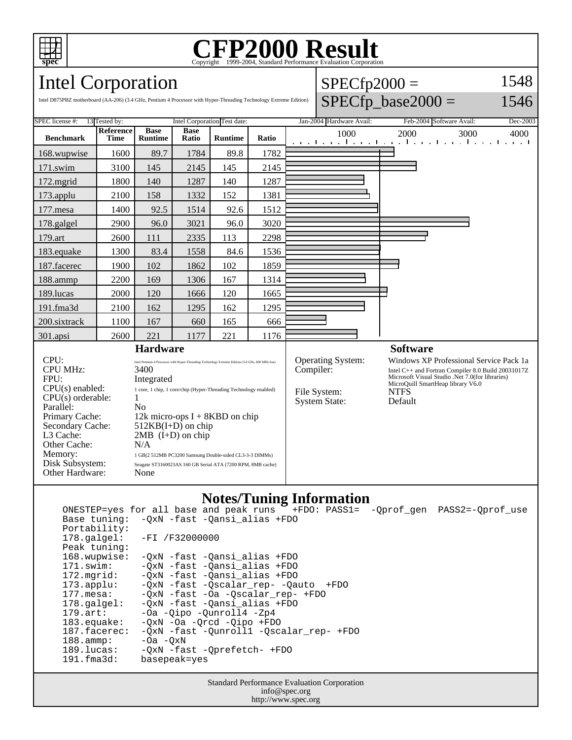

## Copyright ©1999-2004, Standard Performance Evaluation Corporation

 $SPECfp2000 =$ 

1548  $1516$ 

Intel Corporation

Intel D875PBZ motherboard (AA-206) (3.4 GHz, Pentium 4 Processor with Hyper-Threading Technology Extreme Edition)

| SPEC license #:<br>13 Tested by:<br>Intel Corporation Test date:<br>Jan-2004 Hardware Avail:<br>Feb-2004 Software Avail:<br><b>Base</b><br><b>Reference</b><br><b>Base</b><br>1000<br>2000<br>3000<br><b>Benchmark</b><br><b>Time</b><br><b>Runtime</b><br>Ratio<br><b>Runtime</b><br>Ratio<br>1 1 <b>.</b><br>89.7<br>1784<br>89.8<br>1782<br>168.wupwise<br>1600<br>171.swim<br>3100<br>145<br>145<br>2145<br>2145<br>140<br>1287<br>140<br>1287<br>172.mgrid<br>1800<br>158<br>1332<br>152<br>1381<br>2100<br>$173$ .applu<br>1400<br>92.5<br>1514<br>92.6<br>1512<br>$177$ .mesa<br>96.0<br>2900<br>96.0<br>3021<br>3020<br>178.galgel<br>179.art<br>2335<br>113<br>2298<br>2600<br>111<br>84.6<br>183.equake<br>1300<br>83.4<br>1558<br>1536<br>102<br>102<br>1859<br>187.facerec<br>1900<br>1862<br>188.ammp<br>2200<br>169<br>1306<br>167<br>1314<br>189.lucas<br>2000<br>120<br>120<br>1665<br>1666<br>162<br>1295<br>191.fma3d<br>2100<br>1295<br>162<br>200.sixtrack<br>167<br>165<br>1100<br>666<br>660<br>221<br>1177<br>221<br>301.apsi<br>2600<br>1176<br><b>Hardware</b><br><b>Software</b><br>CPU:<br>Operating System:<br>Windows XP Professional Service Pack 1a<br>Intel Pentium 4 Processor with Hyper-Threading Technology Extreme Edition (3.4 GHz, 800 MHz bus)<br><b>CPU MHz:</b><br>Compiler:<br>3400<br>Intel C++ and Fortran Compiler 8.0 Build 20031017Z<br>Microsoft Visual Studio .Net 7.0(for libraries)<br>FPU:<br>Integrated<br>MicroQuill SmartHeap library V6.0<br>$CPU(s)$ enabled:<br>1 core, 1 chip, 1 core/chip (Hyper-Threading Technology enabled)<br><b>NTFS</b><br>File System:<br>$CPU(s)$ orderable:<br>1<br><b>System State:</b><br>Default<br>Parallel:<br>N <sub>o</sub><br>Primary Cache:<br>12k micro-ops $I + 8KBD$ on chip<br>Secondary Cache:<br>$512KB(I+D)$ on chip<br>L3 Cache:<br>$2MB$ (I+D) on chip<br>N/A<br>Other Cache:<br>Memory:<br>1 GB(2 512MB PC3200 Samsung Double-sided CL3-3-3 DIMMs)<br>Seagate ST3160023AS 160 GB Serial ATA (7200 RPM, 8MB cache) | $SPECfp\_base2000 =$<br>1546<br>Intel D875PBZ motherboard (AA-206) (3.4 GHz, Pentium 4 Processor with Hyper-Threading Technology Extreme Edition) |  |  |  |  |  |  |  |  |  |          |
|----------------------------------------------------------------------------------------------------------------------------------------------------------------------------------------------------------------------------------------------------------------------------------------------------------------------------------------------------------------------------------------------------------------------------------------------------------------------------------------------------------------------------------------------------------------------------------------------------------------------------------------------------------------------------------------------------------------------------------------------------------------------------------------------------------------------------------------------------------------------------------------------------------------------------------------------------------------------------------------------------------------------------------------------------------------------------------------------------------------------------------------------------------------------------------------------------------------------------------------------------------------------------------------------------------------------------------------------------------------------------------------------------------------------------------------------------------------------------------------------------------------------------------------------------------------------------------------------------------------------------------------------------------------------------------------------------------------------------------------------------------------------------------------------------------------------------------------------------------------------------------------------------------------------------------------------------------------------------------------------------------------------------|---------------------------------------------------------------------------------------------------------------------------------------------------|--|--|--|--|--|--|--|--|--|----------|
|                                                                                                                                                                                                                                                                                                                                                                                                                                                                                                                                                                                                                                                                                                                                                                                                                                                                                                                                                                                                                                                                                                                                                                                                                                                                                                                                                                                                                                                                                                                                                                                                                                                                                                                                                                                                                                                                                                                                                                                                                            |                                                                                                                                                   |  |  |  |  |  |  |  |  |  | Dec-2003 |
|                                                                                                                                                                                                                                                                                                                                                                                                                                                                                                                                                                                                                                                                                                                                                                                                                                                                                                                                                                                                                                                                                                                                                                                                                                                                                                                                                                                                                                                                                                                                                                                                                                                                                                                                                                                                                                                                                                                                                                                                                            |                                                                                                                                                   |  |  |  |  |  |  |  |  |  | 4000     |
|                                                                                                                                                                                                                                                                                                                                                                                                                                                                                                                                                                                                                                                                                                                                                                                                                                                                                                                                                                                                                                                                                                                                                                                                                                                                                                                                                                                                                                                                                                                                                                                                                                                                                                                                                                                                                                                                                                                                                                                                                            |                                                                                                                                                   |  |  |  |  |  |  |  |  |  |          |
|                                                                                                                                                                                                                                                                                                                                                                                                                                                                                                                                                                                                                                                                                                                                                                                                                                                                                                                                                                                                                                                                                                                                                                                                                                                                                                                                                                                                                                                                                                                                                                                                                                                                                                                                                                                                                                                                                                                                                                                                                            |                                                                                                                                                   |  |  |  |  |  |  |  |  |  |          |
|                                                                                                                                                                                                                                                                                                                                                                                                                                                                                                                                                                                                                                                                                                                                                                                                                                                                                                                                                                                                                                                                                                                                                                                                                                                                                                                                                                                                                                                                                                                                                                                                                                                                                                                                                                                                                                                                                                                                                                                                                            |                                                                                                                                                   |  |  |  |  |  |  |  |  |  |          |
|                                                                                                                                                                                                                                                                                                                                                                                                                                                                                                                                                                                                                                                                                                                                                                                                                                                                                                                                                                                                                                                                                                                                                                                                                                                                                                                                                                                                                                                                                                                                                                                                                                                                                                                                                                                                                                                                                                                                                                                                                            |                                                                                                                                                   |  |  |  |  |  |  |  |  |  |          |
|                                                                                                                                                                                                                                                                                                                                                                                                                                                                                                                                                                                                                                                                                                                                                                                                                                                                                                                                                                                                                                                                                                                                                                                                                                                                                                                                                                                                                                                                                                                                                                                                                                                                                                                                                                                                                                                                                                                                                                                                                            |                                                                                                                                                   |  |  |  |  |  |  |  |  |  |          |
|                                                                                                                                                                                                                                                                                                                                                                                                                                                                                                                                                                                                                                                                                                                                                                                                                                                                                                                                                                                                                                                                                                                                                                                                                                                                                                                                                                                                                                                                                                                                                                                                                                                                                                                                                                                                                                                                                                                                                                                                                            |                                                                                                                                                   |  |  |  |  |  |  |  |  |  |          |
|                                                                                                                                                                                                                                                                                                                                                                                                                                                                                                                                                                                                                                                                                                                                                                                                                                                                                                                                                                                                                                                                                                                                                                                                                                                                                                                                                                                                                                                                                                                                                                                                                                                                                                                                                                                                                                                                                                                                                                                                                            |                                                                                                                                                   |  |  |  |  |  |  |  |  |  |          |
|                                                                                                                                                                                                                                                                                                                                                                                                                                                                                                                                                                                                                                                                                                                                                                                                                                                                                                                                                                                                                                                                                                                                                                                                                                                                                                                                                                                                                                                                                                                                                                                                                                                                                                                                                                                                                                                                                                                                                                                                                            |                                                                                                                                                   |  |  |  |  |  |  |  |  |  |          |
|                                                                                                                                                                                                                                                                                                                                                                                                                                                                                                                                                                                                                                                                                                                                                                                                                                                                                                                                                                                                                                                                                                                                                                                                                                                                                                                                                                                                                                                                                                                                                                                                                                                                                                                                                                                                                                                                                                                                                                                                                            |                                                                                                                                                   |  |  |  |  |  |  |  |  |  |          |
|                                                                                                                                                                                                                                                                                                                                                                                                                                                                                                                                                                                                                                                                                                                                                                                                                                                                                                                                                                                                                                                                                                                                                                                                                                                                                                                                                                                                                                                                                                                                                                                                                                                                                                                                                                                                                                                                                                                                                                                                                            |                                                                                                                                                   |  |  |  |  |  |  |  |  |  |          |
|                                                                                                                                                                                                                                                                                                                                                                                                                                                                                                                                                                                                                                                                                                                                                                                                                                                                                                                                                                                                                                                                                                                                                                                                                                                                                                                                                                                                                                                                                                                                                                                                                                                                                                                                                                                                                                                                                                                                                                                                                            |                                                                                                                                                   |  |  |  |  |  |  |  |  |  |          |
|                                                                                                                                                                                                                                                                                                                                                                                                                                                                                                                                                                                                                                                                                                                                                                                                                                                                                                                                                                                                                                                                                                                                                                                                                                                                                                                                                                                                                                                                                                                                                                                                                                                                                                                                                                                                                                                                                                                                                                                                                            |                                                                                                                                                   |  |  |  |  |  |  |  |  |  |          |
|                                                                                                                                                                                                                                                                                                                                                                                                                                                                                                                                                                                                                                                                                                                                                                                                                                                                                                                                                                                                                                                                                                                                                                                                                                                                                                                                                                                                                                                                                                                                                                                                                                                                                                                                                                                                                                                                                                                                                                                                                            |                                                                                                                                                   |  |  |  |  |  |  |  |  |  |          |
|                                                                                                                                                                                                                                                                                                                                                                                                                                                                                                                                                                                                                                                                                                                                                                                                                                                                                                                                                                                                                                                                                                                                                                                                                                                                                                                                                                                                                                                                                                                                                                                                                                                                                                                                                                                                                                                                                                                                                                                                                            |                                                                                                                                                   |  |  |  |  |  |  |  |  |  |          |
|                                                                                                                                                                                                                                                                                                                                                                                                                                                                                                                                                                                                                                                                                                                                                                                                                                                                                                                                                                                                                                                                                                                                                                                                                                                                                                                                                                                                                                                                                                                                                                                                                                                                                                                                                                                                                                                                                                                                                                                                                            | Disk Subsystem:<br>Other Hardware:<br>None                                                                                                        |  |  |  |  |  |  |  |  |  |          |

## **Notes/Tuning Information**

|                                             | ONESTEP=yes for all base and peak runs THEDO: PASS1= -Oprof gen PASS2=-Oprof use |  |  |  |  |  |
|---------------------------------------------|----------------------------------------------------------------------------------|--|--|--|--|--|
|                                             | Base tuning: - OxN - fast - Oansi alias + FDO                                    |  |  |  |  |  |
| Portability:                                |                                                                                  |  |  |  |  |  |
| $178.\texttt{qalqel}:$                      | -FI /F32000000                                                                   |  |  |  |  |  |
| Peak tuning:                                |                                                                                  |  |  |  |  |  |
| 168.wupwise:                                | -OxN -fast -Oansi alias +FDO                                                     |  |  |  |  |  |
| 171.swim:                                   | -OxN -fast -Oansi alias +FDO                                                     |  |  |  |  |  |
| $172.\text{mgrid}:$                         | -OxN -fast -Oansi alias +FDO                                                     |  |  |  |  |  |
| $173.\text{applu}:$                         | -QxN -fast -Qscalar_rep- -Qauto +FDO                                             |  |  |  |  |  |
| $177.\text{mesa}$ :                         | -OxN -fast -Oa -Oscalar rep- +FDO                                                |  |  |  |  |  |
| $178.\text{qalgel}$ :                       | -QxN -fast -Qansi_alias +FDO                                                     |  |  |  |  |  |
| $179.\text{art}:$                           | -Oa -Oipo -Ounroll4 -Zp4                                                         |  |  |  |  |  |
| $183.\n$ equake:                            | $-0xN$ $-0a$ $-0rcd$ $-0ipo$ $+FD0$                                              |  |  |  |  |  |
| 187.facerec:                                | -OxN -fast -Ounroll1 -Oscalar rep- +FDO                                          |  |  |  |  |  |
| $188.\text{amp}:$                           | $-0a$ $-0xN$                                                                     |  |  |  |  |  |
| 189.lucas:                                  | -OxN -fast -Oprefetch- +FDO                                                      |  |  |  |  |  |
| $191.f$ ma $3d$ :                           | basepeak=yes                                                                     |  |  |  |  |  |
|                                             |                                                                                  |  |  |  |  |  |
| Standard Performance Evaluation Corporation |                                                                                  |  |  |  |  |  |

Evaluation Corporation info@spec.org http://www.spec.org